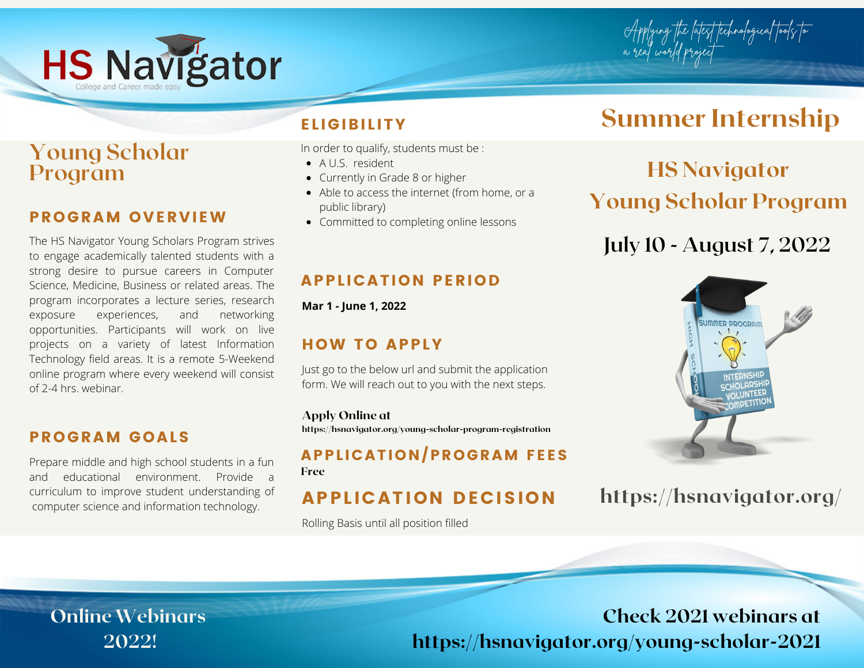

## **Young Scholar Program**

## PROGRAM OVERVIEW

The HS Navigator Young Scholars Program strives to engage academically talented students with a strong desire to pursue careers in Computer Science, Medicine, Business or related areas. The program incorporates a lecture series, research exposure experiences, and networking opportunities. Participants will work on live projects on a variety of latest Information Technology field areas. It is a remote 5-Weekend online program where every weekend will consist of 2-4 hrs. webinar.

### PROGRAM GOALS

Prepare middle and high school students in a fun and educational environment. Provide a curriculum to improve student understanding of computer science and information technology.

## **ELIGIBILITY**

In order to qualify, students must be :

- A U.S. resident
- Currently in Grade 8 or higher
- Able to access the internet (from home, or a public library)
- Committed to completing online lessons

# Summer Internship

# HS Navigator Young Scholar Program

## **July 10 - August 7, 2022**

## **APPLICATION PERIOD**

**Mar 1 - June 1, 2022**

## HOW TO APPLY

Just go to the below url and submit the application form. We will reach out to you with the next steps.

#### [Ap](https://nam02.safelinks.protection.outlook.com/?url=https%3A%2F%2Fhsnavigator.org%2Fys%2Fapply.php&data=04%7C01%7CDesiree.Fraker%40fresnounified.org%7C7bf30ede404041dc651308d913d8be11%7C74c9008303c6453a801c9251cdd17eb8%7C0%7C0%7C637562643929020328%7CUnknown%7CTWFpbGZsb3d8eyJWIjoiMC4wLjAwMDAiLCJQIjoiV2luMzIiLCJBTiI6Ik1haWwiLCJXVCI6Mn0%3D%7C1000&sdata=OLRwXOrdQ80H3bX8Rx5Sjc8i%2BV4lH%2Bds%2FJcMTJEbbm0%3D&reserved=0)ply [Online](https://nam02.safelinks.protection.outlook.com/?url=https%3A%2F%2Fhsnavigator.org%2Fys%2Fapply.php&data=04%7C01%7CDesiree.Fraker%40fresnounified.org%7C7bf30ede404041dc651308d913d8be11%7C74c9008303c6453a801c9251cdd17eb8%7C0%7C0%7C637562643929020328%7CUnknown%7CTWFpbGZsb3d8eyJWIjoiMC4wLjAwMDAiLCJQIjoiV2luMzIiLCJBTiI6Ik1haWwiLCJXVCI6Mn0%3D%7C1000&sdata=OLRwXOrdQ80H3bX8Rx5Sjc8i%2BV4lH%2Bds%2FJcMTJEbbm0%3D&reserved=0) at

https://hsnavigator.org/young-scholar-program-registration

### **APPLICATION/PROGRAM FEES** Free

## **APPLICATION DECISION**

Rolling Basis until all position filled



https://hsnavigator.org/

Online Webinars 2022!

Check 2021 webinars at https://hsnavigator.org/young-scholar-2021